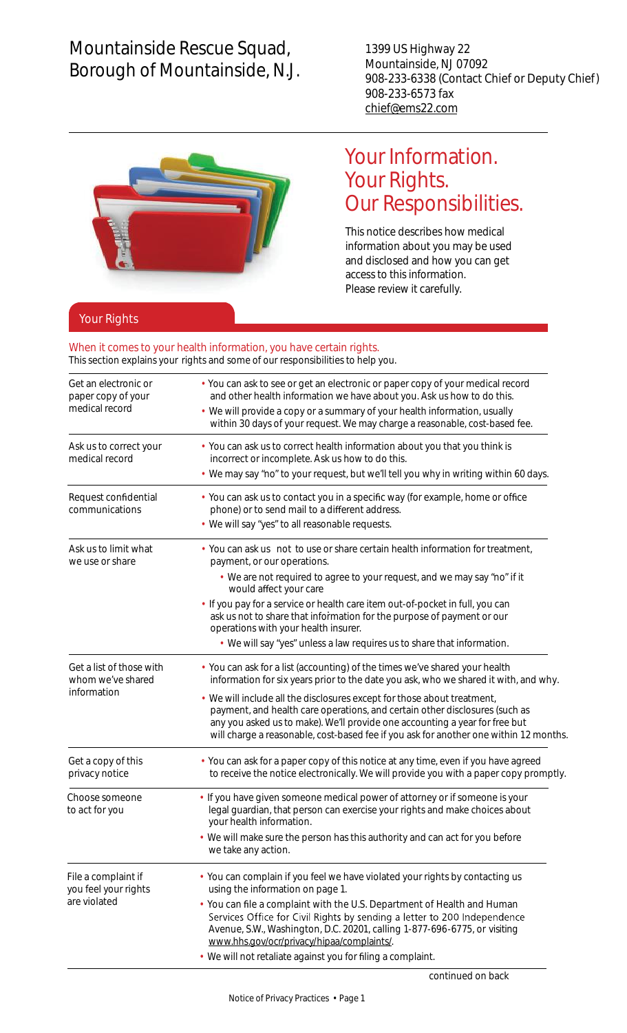## Mountainside Rescue Squad, Borough of Mountainside, N.J.

1399 US Highway 22 Mountainside, NJ 07092 908-233-6338 (Contact Chief or Deputy Chief) 908-233-6573 fax [chief@ems22.com](mailto:chief@ems22.com)



## Your Information. Your Rights. Our Responsibilities.

This notice describes how medical information about you may be used and disclosed and how you can get access to this information. Please review it carefully.

## Your Rights

## When it comes to your health information, you have certain rights.

This section explains your rights and some of our responsibilities to help you.

| Get an electronic or<br>paper copy of your<br>medical record | • You can ask to see or get an electronic or paper copy of your medical record<br>and other health information we have about you. Ask us how to do this.<br>• We will provide a copy or a summary of your health information, usually                                                                                             |  |  |
|--------------------------------------------------------------|-----------------------------------------------------------------------------------------------------------------------------------------------------------------------------------------------------------------------------------------------------------------------------------------------------------------------------------|--|--|
|                                                              | within 30 days of your request. We may charge a reasonable, cost-based fee.                                                                                                                                                                                                                                                       |  |  |
| Ask us to correct your<br>medical record                     | • You can ask us to correct health information about you that you think is<br>incorrect or incomplete. Ask us how to do this.                                                                                                                                                                                                     |  |  |
|                                                              | • We may say "no" to your request, but we'll tell you why in writing within 60 days.                                                                                                                                                                                                                                              |  |  |
| Request confidential<br>communications                       | • You can ask us to contact you in a specific way (for example, home or office<br>phone) or to send mail to a different address.                                                                                                                                                                                                  |  |  |
|                                                              | • We will say "yes" to all reasonable requests.                                                                                                                                                                                                                                                                                   |  |  |
| Ask us to limit what<br>we use or share                      | • You can ask us not to use or share certain health information for treatment,<br>payment, or our operations.                                                                                                                                                                                                                     |  |  |
|                                                              | • We are not required to agree to your request, and we may say "no" if it<br>would affect your care                                                                                                                                                                                                                               |  |  |
|                                                              | · If you pay for a service or health care item out-of-pocket in full, you can<br>ask us not to share that information for the purpose of payment or our<br>operations with your health insurer.                                                                                                                                   |  |  |
|                                                              | • We will say "yes" unless a law requires us to share that information.                                                                                                                                                                                                                                                           |  |  |
| Get a list of those with<br>whom we've shared<br>information | • You can ask for a list (accounting) of the times we've shared your health<br>information for six years prior to the date you ask, who we shared it with, and why.                                                                                                                                                               |  |  |
|                                                              | We will include all the disclosures except for those about treatment,<br>٠<br>payment, and health care operations, and certain other disclosures (such as<br>any you asked us to make). We'll provide one accounting a year for free but<br>will charge a reasonable, cost-based fee if you ask for another one within 12 months. |  |  |
| Get a copy of this<br>privacy notice                         | • You can ask for a paper copy of this notice at any time, even if you have agreed<br>to receive the notice electronically. We will provide you with a paper copy promptly.                                                                                                                                                       |  |  |
| Choose someone<br>to act for you                             | · If you have given someone medical power of attorney or if someone is your<br>legal guardian, that person can exercise your rights and make choices about<br>your health information.                                                                                                                                            |  |  |
|                                                              | • We will make sure the person has this authority and can act for you before<br>we take any action.                                                                                                                                                                                                                               |  |  |
| File a complaint if<br>you feel your rights<br>are violated  | • You can complain if you feel we have violated your rights by contacting us<br>using the information on page 1.                                                                                                                                                                                                                  |  |  |
|                                                              | • You can file a complaint with the U.S. Department of Health and Human<br>Services Office for Civil Rights by sending a letter to 200 Independence<br>Avenue, S.W., Washington, D.C. 20201, calling 1-877-696-6775, or visiting<br>www.hhs.gov/ocr/privacy/hipaa/complaints/.                                                    |  |  |
|                                                              | • We will not retaliate against you for filing a complaint.                                                                                                                                                                                                                                                                       |  |  |
|                                                              | continued on back                                                                                                                                                                                                                                                                                                                 |  |  |